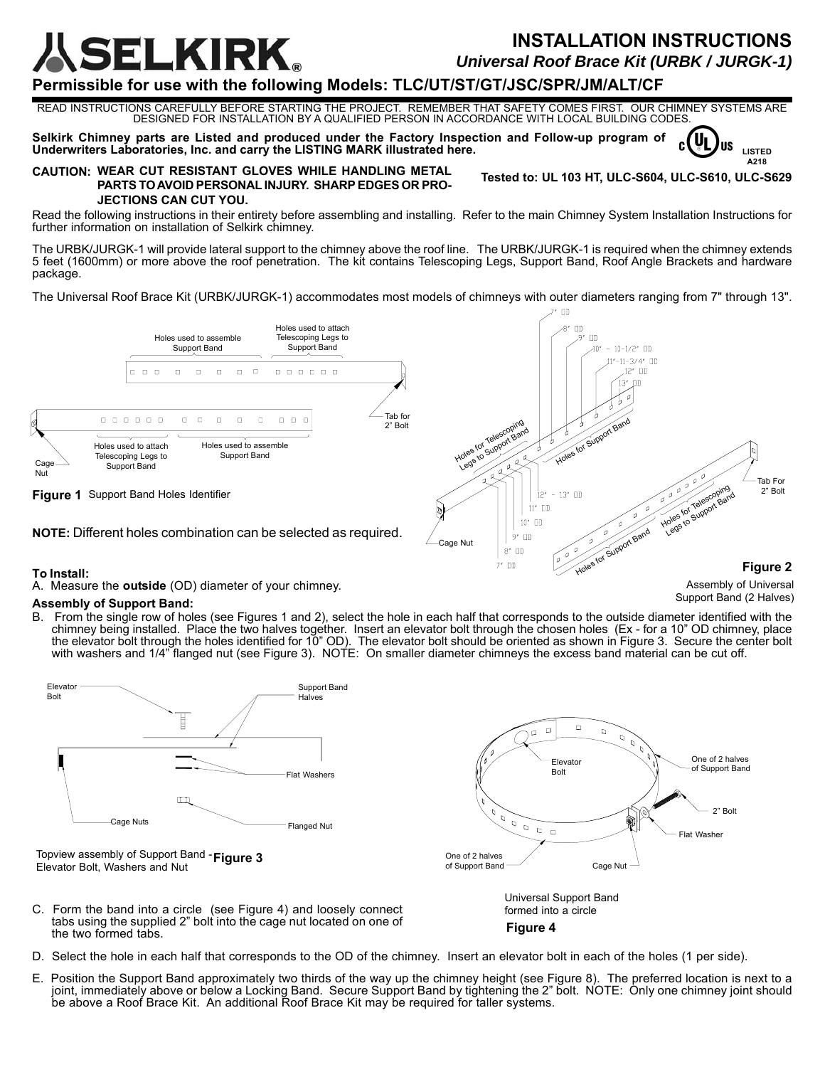**LKIRK.** 

# **INSTALLATION INSTRUCTIONS** *Universal Roof Brace Kit (URBK / JURGK-1)*

**Tested to: UL 103 HT, ULC-S604, ULC-S610, ULC-S629**

Support Band

**Figure 2**

**LISTED A218**

Uı **US** 

Assembly of Universal Support Band (2 Halves)

## **Permissible for use with the following Models: TLC/UT/ST/GT/JSC/SPR/JM/ALT/CF**

READ INSTRUCTIONS CAREFULLY BEFORE STARTING THE PROJECT. REMEMBER THAT SAFETY COMES FIRST. OUR CHIMNEY SYSTEMS ARE DESIGNED FOR INSTALLATION BY A QUALIFIED PERSON IN ACCORDANCE WITH LOCAL BUILDING CODES.

**Selkirk Chimney parts are Listed and produced under the Factory Inspection and Follow-up program of Underwriters Laboratories, Inc. and carry the LISTING MARK illustrated here.**

#### **CAUTION: WEAR CUT RESISTANT GLOVES WHILE HANDLING METAL PARTS TO AVOID PERSONAL INJURY. SHARP EDGES OR PRO-**

#### **JECTIONS CAN CUT YOU.**

Read the following instructions in their entirety before assembling and installing. Refer to the main Chimney System Installation Instructions for further information on installation of Selkirk chimney.

The URBK/JURGK-1 will provide lateral support to the chimney above the roof line. The URBK/JURGK-1 is required when the chimney extends 5 feet (1600mm) or more above the roof penetration. The kit contains Telescoping Legs, Support Band, Roof Angle Brackets and hardware package.

The Universal Roof Brace Kit (URBK/JURGK-1) accommodates most models of chimneys with outer diameters ranging from 7" through 13".



**NOTE:** Different holes combination can be selected as required.

### **To Install:**

A. Measure the **outside** (OD) diameter of your chimney.

#### **Assembly of Support Band:**

B. From the single row of holes (see Figures 1 and 2), select the hole in each half that corresponds to the outside diameter identified with the chimney being installed. Place the two halves together. Insert an elevator bolt through the chosen holes (Ex - for a 10" OD chimney, place the elevator bolt through the holes identified for 10" OD). The elevator bolt should be oriented as shown in Figure 3. Secure the center bolt with washers and 1/4" flanged nut (see Figure 3). NOTE: On smaller diameter chimneys the excess band material can be cut off.

Cage Nut

 $\mathcal{P}$  $\Box$  $8^{\prime}$   $\Box$  $7^*$  OD



- D. Select the hole in each half that corresponds to the OD of the chimney. Insert an elevator bolt in each of the holes (1 per side).
- E. Position the Support Band approximately two thirds of the way up the chimney height (see Figure 8). The preferred location is next to a joint, immediately above or below a Locking Band. Secure Support Band by tightening the 2" bolt. NOTE: Only one chimney joint should be above a Roof Brace Kit. An additional Roof Brace Kit may be required for taller systems.